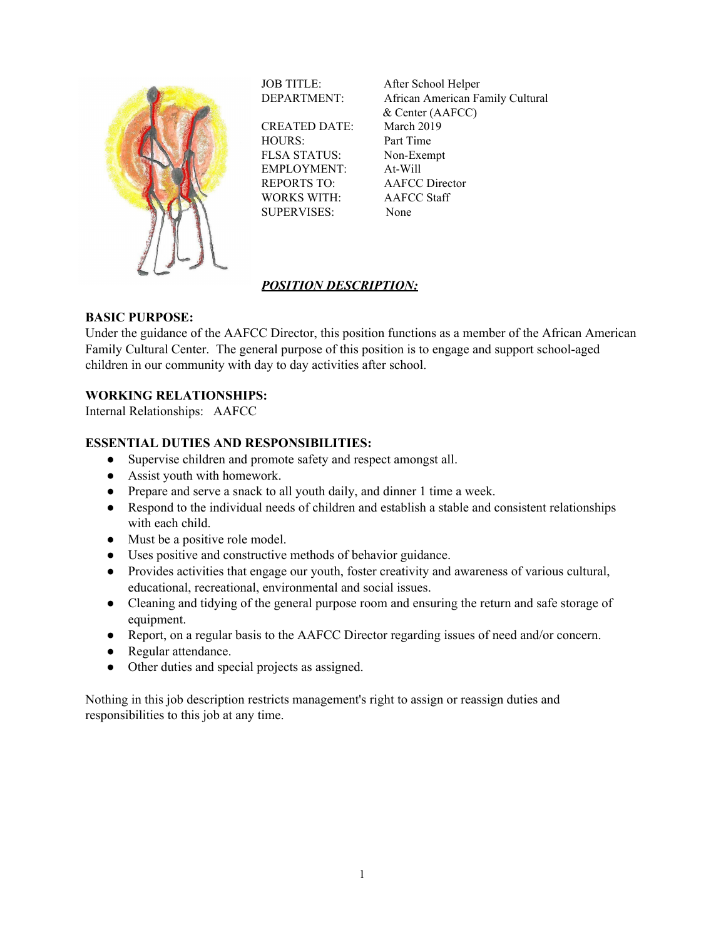

CREATED DATE: March 2019 HOURS: Part Time FLSA STATUS: Non-Exempt EMPLOYMENT: At-Will REPORTS TO: AAFCC Director WORKS WITH: AAFCC Staff SUPERVISES: None

JOB TITLE: After School Helper DEPARTMENT: African American Family Cultural & Center (AAFCC)

# *POSITION DESCRIPTION:*

# **BASIC PURPOSE:**

Under the guidance of the AAFCC Director, this position functions as a member of the African American Family Cultural Center. The general purpose of this position is to engage and support school-aged children in our community with day to day activities after school.

# **WORKING RELATIONSHIPS:**

Internal Relationships: AAFCC

### **ESSENTIAL DUTIES AND RESPONSIBILITIES:**

- Supervise children and promote safety and respect amongst all.
- Assist youth with homework.
- Prepare and serve a snack to all youth daily, and dinner 1 time a week.
- Respond to the individual needs of children and establish a stable and consistent relationships with each child.
- Must be a positive role model.
- Uses positive and constructive methods of behavior guidance.
- Provides activities that engage our youth, foster creativity and awareness of various cultural, educational, recreational, environmental and social issues.
- Cleaning and tidying of the general purpose room and ensuring the return and safe storage of equipment.
- Report, on a regular basis to the AAFCC Director regarding issues of need and/or concern.
- Regular attendance.
- Other duties and special projects as assigned.

Nothing in this job description restricts management's right to assign or reassign duties and responsibilities to this job at any time.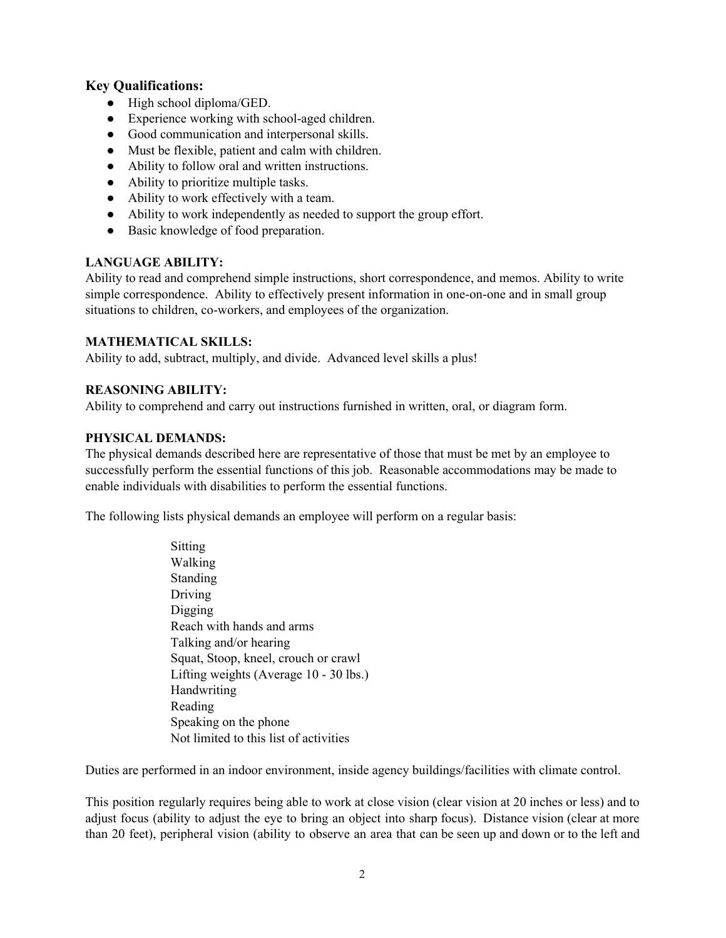# **Key Qualifications:**

- $\bullet$  High school diploma/GED.
- **●** Experience working with school-aged children.
- Good communication and interpersonal skills.
- Must be flexible, patient and calm with children.
- Ability to follow oral and written instructions.
- Ability to prioritize multiple tasks.
- Ability to work effectively with a team.
- Ability to work independently as needed to support the group effort.
- **●** Basic knowledge of food preparation.

#### **LANGUAGE ABILITY:**

Ability to read and comprehend simple instructions, short correspondence, and memos. Ability to write simple correspondence. Ability to effectively present information in one-on-one and in small group situations to children, co-workers, and employees of the organization.

### **MATHEMATICAL SKILLS:**

Ability to add, subtract, multiply, and divide. Advanced level skills a plus!

### **REASONING ABILITY:**

Ability to comprehend and carry out instructions furnished in written, oral, or diagram form.

### **PHYSICAL DEMANDS:**

The physical demands described here are representative of those that must be met by an employee to successfully perform the essential functions of this job. Reasonable accommodations may be made to enable individuals with disabilities to perform the essential functions.

The following lists physical demands an employee will perform on a regular basis:

Sitting Walking **Standing** Driving Digging Reach with hands and arms Talking and/or hearing Squat, Stoop, kneel, crouch or crawl Lifting weights (Average 10 - 30 lbs.) Handwriting Reading Speaking on the phone Not limited to this list of activities

Duties are performed in an indoor environment, inside agency buildings/facilities with climate control.

This position regularly requires being able to work at close vision (clear vision at 20 inches or less) and to adjust focus (ability to adjust the eye to bring an object into sharp focus). Distance vision (clear at more than 20 feet), peripheral vision (ability to observe an area that can be seen up and down or to the left and